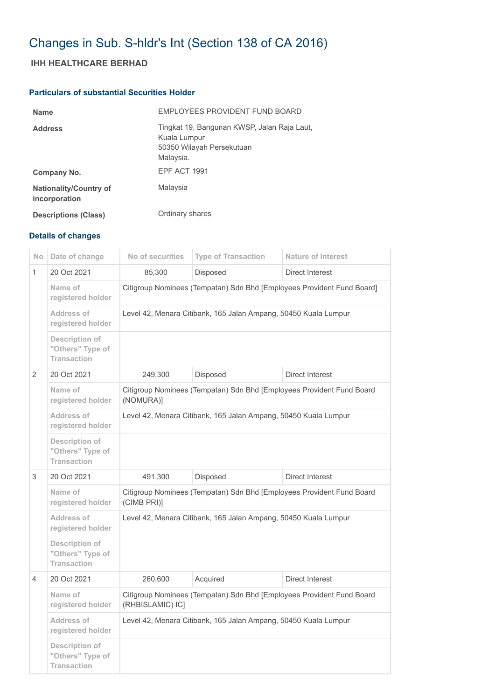## Changes in Sub. S-hldr's Int (Section 138 of CA 2016)

## **IHH HEALTHCARE BERHAD**

## **Particulars of substantial Securities Holder**

| <b>Name</b>                                    | EMPLOYEES PROVIDENT FUND BOARD                                                                        |
|------------------------------------------------|-------------------------------------------------------------------------------------------------------|
| <b>Address</b>                                 | Tingkat 19, Bangunan KWSP, Jalan Raja Laut,<br>Kuala Lumpur<br>50350 Wilayah Persekutuan<br>Malaysia. |
| Company No.                                    | <b>EPF ACT 1991</b>                                                                                   |
| <b>Nationality/Country of</b><br>incorporation | Malaysia                                                                                              |
| <b>Descriptions (Class)</b>                    | Ordinary shares                                                                                       |

## **Details of changes**

| N <sub>o</sub> | Date of change                                           | No of securities                                                                          | <b>Type of Transaction</b> | <b>Nature of Interest</b> |  |
|----------------|----------------------------------------------------------|-------------------------------------------------------------------------------------------|----------------------------|---------------------------|--|
| $\mathbf{1}$   | 20 Oct 2021                                              | 85,300                                                                                    | Disposed                   | Direct Interest           |  |
|                | Name of<br>registered holder                             | Citigroup Nominees (Tempatan) Sdn Bhd [Employees Provident Fund Board]                    |                            |                           |  |
|                | <b>Address of</b><br>registered holder                   | Level 42, Menara Citibank, 165 Jalan Ampang, 50450 Kuala Lumpur                           |                            |                           |  |
|                | Description of<br>"Others" Type of<br><b>Transaction</b> |                                                                                           |                            |                           |  |
| 2              | 20 Oct 2021                                              | 249,300                                                                                   | Disposed                   | Direct Interest           |  |
|                | Name of<br>registered holder                             | Citigroup Nominees (Tempatan) Sdn Bhd [Employees Provident Fund Board<br>(NOMURA)]        |                            |                           |  |
|                | Address of<br>registered holder                          | Level 42, Menara Citibank, 165 Jalan Ampang, 50450 Kuala Lumpur                           |                            |                           |  |
|                | Description of<br>"Others" Type of<br><b>Transaction</b> |                                                                                           |                            |                           |  |
| 3              | 20 Oct 2021                                              | 491,300                                                                                   | Disposed                   | <b>Direct Interest</b>    |  |
|                | Name of<br>registered holder                             | Citigroup Nominees (Tempatan) Sdn Bhd [Employees Provident Fund Board<br>(CIMB PRI)]      |                            |                           |  |
|                | Address of<br>registered holder                          | Level 42, Menara Citibank, 165 Jalan Ampang, 50450 Kuala Lumpur                           |                            |                           |  |
|                | Description of<br>"Others" Type of<br><b>Transaction</b> |                                                                                           |                            |                           |  |
| 4              | 20 Oct 2021                                              | 260,600                                                                                   | Acquired                   | <b>Direct Interest</b>    |  |
|                | Name of<br>registered holder                             | Citigroup Nominees (Tempatan) Sdn Bhd [Employees Provident Fund Board<br>(RHBISLAMIC) IC] |                            |                           |  |
|                | Address of<br>registered holder                          | Level 42, Menara Citibank, 165 Jalan Ampang, 50450 Kuala Lumpur                           |                            |                           |  |
|                | Description of<br>"Others" Type of<br><b>Transaction</b> |                                                                                           |                            |                           |  |